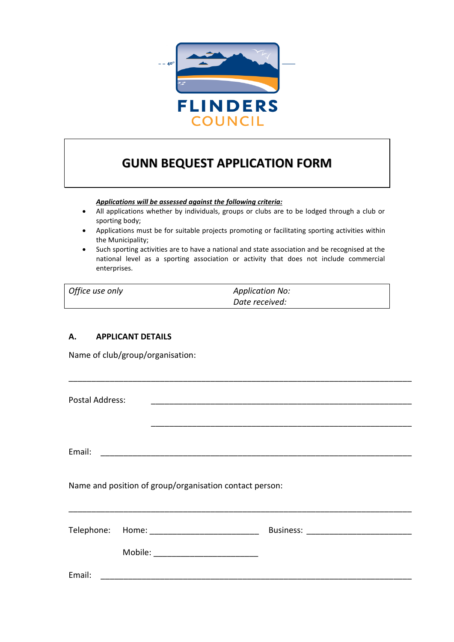

# **GUNN BEQUEST APPLICATION FORM**

*Applications will be assessed against the following criteria:*

- All applications whether by individuals, groups or clubs are to be lodged through a club or sporting body;
- Applications must be for suitable projects promoting or facilitating sporting activities within the Municipality;
- Such sporting activities are to have a national and state association and be recognised at the national level as a sporting association or activity that does not include commercial enterprises.

| Office use only | <b>Application No:</b> |  |
|-----------------|------------------------|--|
|                 | Date received:         |  |

# **A. APPLICANT DETAILS**

Name of club/group/organisation:

Postal Address:

Email: \_\_\_\_\_\_\_\_\_\_\_\_\_\_\_\_\_\_\_\_\_\_\_\_\_\_\_\_\_\_\_\_\_\_\_\_\_\_\_\_\_\_\_\_\_\_\_\_\_\_\_\_\_\_\_\_\_\_\_\_\_\_\_\_\_\_\_\_

\_\_\_\_\_\_\_\_\_\_\_\_\_\_\_\_\_\_\_\_\_\_\_\_\_\_\_\_\_\_\_\_\_\_\_\_\_\_\_\_\_\_\_\_\_\_\_\_\_\_\_\_\_\_\_\_\_\_\_\_\_\_\_\_\_\_\_\_\_\_\_\_\_\_\_

\_\_\_\_\_\_\_\_\_\_\_\_\_\_\_\_\_\_\_\_\_\_\_\_\_\_\_\_\_\_\_\_\_\_\_\_\_\_\_\_\_\_\_\_\_\_\_\_\_\_\_\_\_\_\_\_\_

Name and position of group/organisation contact person:

|        | Telephone: Home: _________________ | <b>Business:</b> |
|--------|------------------------------------|------------------|
|        | Mobile:                            |                  |
| Email: |                                    |                  |

\_\_\_\_\_\_\_\_\_\_\_\_\_\_\_\_\_\_\_\_\_\_\_\_\_\_\_\_\_\_\_\_\_\_\_\_\_\_\_\_\_\_\_\_\_\_\_\_\_\_\_\_\_\_\_\_\_\_\_\_\_\_\_\_\_\_\_\_\_\_\_\_\_\_\_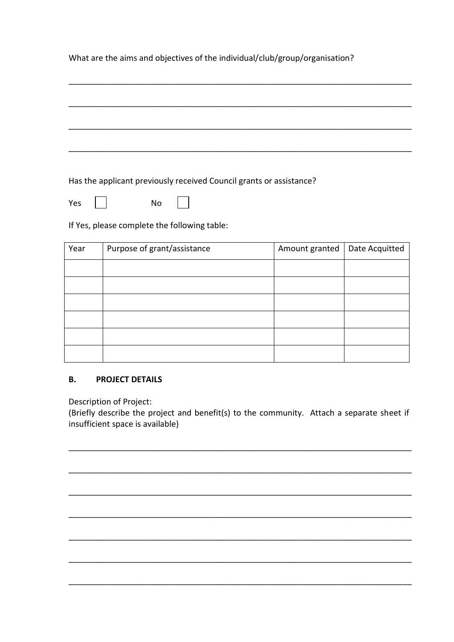What are the aims and objectives of the individual/club/group/organisation?

Has the applicant previously received Council grants or assistance?

 $\overline{\phantom{0}}$ Yes No

If Yes, please complete the following table:

| Year | Purpose of grant/assistance | Amount granted | Date Acquitted |
|------|-----------------------------|----------------|----------------|
|      |                             |                |                |
|      |                             |                |                |
|      |                             |                |                |
|      |                             |                |                |
|      |                             |                |                |
|      |                             |                |                |

#### **B. PROJECT DETAILS**

Description of Project:

(Briefly describe the project and benefit(s) to the community. Attach a separate sheet if insufficient space is available)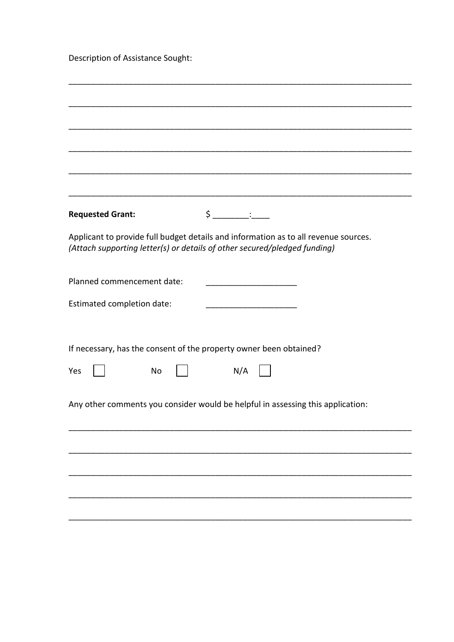Description of Assistance Sought:

| <b>Requested Grant:</b>                                            | $\begin{picture}(20,20) \put(0,0){\vector(1,0){100}} \put(15,0){\vector(1,0){100}} \put(15,0){\vector(1,0){100}} \put(15,0){\vector(1,0){100}} \put(15,0){\vector(1,0){100}} \put(15,0){\vector(1,0){100}} \put(15,0){\vector(1,0){100}} \put(15,0){\vector(1,0){100}} \put(15,0){\vector(1,0){100}} \put(15,0){\vector(1,0){100}} \put(15,0){\vector(1,0){100}} \$ |
|--------------------------------------------------------------------|---------------------------------------------------------------------------------------------------------------------------------------------------------------------------------------------------------------------------------------------------------------------------------------------------------------------------------------------------------------------|
|                                                                    | Applicant to provide full budget details and information as to all revenue sources.<br>(Attach supporting letter(s) or details of other secured/pledged funding)                                                                                                                                                                                                    |
| Planned commencement date:                                         |                                                                                                                                                                                                                                                                                                                                                                     |
| Estimated completion date:                                         |                                                                                                                                                                                                                                                                                                                                                                     |
|                                                                    |                                                                                                                                                                                                                                                                                                                                                                     |
| If necessary, has the consent of the property owner been obtained? |                                                                                                                                                                                                                                                                                                                                                                     |
| Yes<br>No                                                          | N/A                                                                                                                                                                                                                                                                                                                                                                 |
|                                                                    | Any other comments you consider would be helpful in assessing this application:                                                                                                                                                                                                                                                                                     |
|                                                                    |                                                                                                                                                                                                                                                                                                                                                                     |
|                                                                    |                                                                                                                                                                                                                                                                                                                                                                     |
|                                                                    |                                                                                                                                                                                                                                                                                                                                                                     |
|                                                                    |                                                                                                                                                                                                                                                                                                                                                                     |
|                                                                    |                                                                                                                                                                                                                                                                                                                                                                     |
|                                                                    |                                                                                                                                                                                                                                                                                                                                                                     |